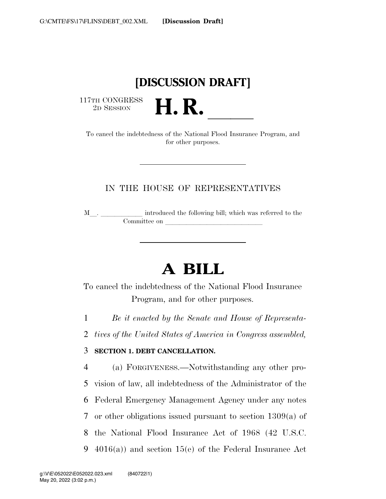## **[DISCUSSION DRAFT]**

 $\begin{array}{c} \text{117TH CONGRESS} \\ \text{2D SESION} \end{array}$ 

THE CONGRESS<br>
2D SESSION<br>
To cancel the indebtedness of the National Flood Insurance Program, and for other purposes.

## IN THE HOUSE OF REPRESENTATIVES

<sup>M</sup>l. llllll introduced the following bill; which was referred to the Committee on leads on later was a set of the contract of the contract of the contract of the contract of the contract of the contract of the contract of the contract of the contract of the contract of the contract of the c

## **A BILL**

To cancel the indebtedness of the National Flood Insurance Program, and for other purposes.

1 *Be it enacted by the Senate and House of Representa-*

2 *tives of the United States of America in Congress assembled,* 

## 3 **SECTION 1. DEBT CANCELLATION.**

 (a) FORGIVENESS.—Notwithstanding any other pro- vision of law, all indebtedness of the Administrator of the Federal Emergency Management Agency under any notes or other obligations issued pursuant to section 1309(a) of the National Flood Insurance Act of 1968 (42 U.S.C. 4016(a)) and section 15(e) of the Federal Insurance Act